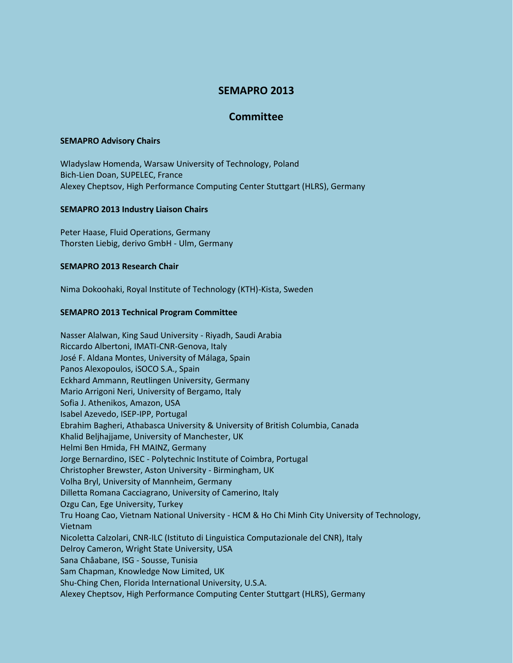# **SEMAPRO 2013**

## **Committee**

#### **SEMAPRO Advisory Chairs**

Wladyslaw Homenda, Warsaw University of Technology, Poland Bich-Lien Doan, SUPELEC, France Alexey Cheptsov, High Performance Computing Center Stuttgart (HLRS), Germany

### **SEMAPRO 2013 Industry Liaison Chairs**

Peter Haase, Fluid Operations, Germany Thorsten Liebig, derivo GmbH - Ulm, Germany

### **SEMAPRO 2013 Research Chair**

Nima Dokoohaki, Royal Institute of Technology (KTH)-Kista, Sweden

### **SEMAPRO 2013 Technical Program Committee**

Nasser Alalwan, King Saud University - Riyadh, Saudi Arabia Riccardo Albertoni, IMATI-CNR-Genova, Italy José F. Aldana Montes, University of Málaga, Spain Panos Alexopoulos, iSOCO S.A., Spain Eckhard Ammann, Reutlingen University, Germany Mario Arrigoni Neri, University of Bergamo, Italy Sofia J. Athenikos, Amazon, USA Isabel Azevedo, ISEP-IPP, Portugal Ebrahim Bagheri, Athabasca University & University of British Columbia, Canada Khalid Beljhajjame, University of Manchester, UK Helmi Ben Hmida, FH MAINZ, Germany Jorge Bernardino, ISEC - Polytechnic Institute of Coimbra, Portugal Christopher Brewster, Aston University - Birmingham, UK Volha Bryl, University of Mannheim, Germany Dilletta Romana Cacciagrano, University of Camerino, Italy Ozgu Can, Ege University, Turkey Tru Hoang Cao, Vietnam National University - HCM & Ho Chi Minh City University of Technology, Vietnam Nicoletta Calzolari, CNR-ILC (Istituto di Linguistica Computazionale del CNR), Italy Delroy Cameron, Wright State University, USA Sana Châabane, ISG - Sousse, Tunisia Sam Chapman, Knowledge Now Limited, UK Shu-Ching Chen, Florida International University, U.S.A. Alexey Cheptsov, High Performance Computing Center Stuttgart (HLRS), Germany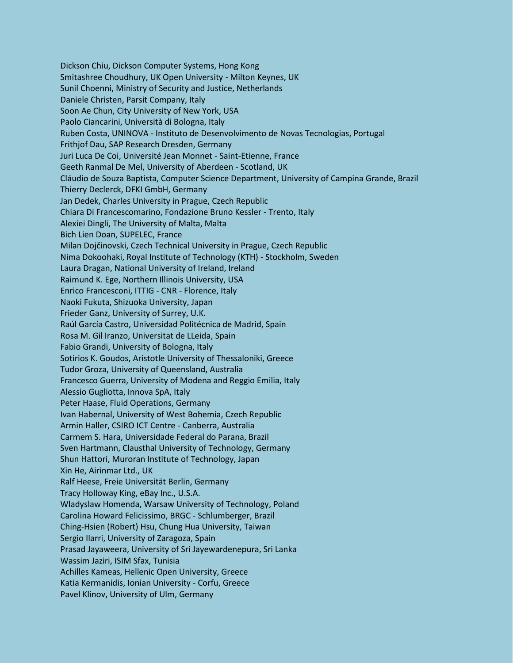Dickson Chiu, Dickson Computer Systems, Hong Kong Smitashree Choudhury, UK Open University - Milton Keynes, UK Sunil Choenni, Ministry of Security and Justice, Netherlands Daniele Christen, Parsit Company, Italy Soon Ae Chun, City University of New York, USA Paolo Ciancarini, Università di Bologna, Italy Ruben Costa, UNINOVA - Instituto de Desenvolvimento de Novas Tecnologias, Portugal Frithjof Dau, SAP Research Dresden, Germany Juri Luca De Coi, Université Jean Monnet - Saint-Etienne, France Geeth Ranmal De Mel, University of Aberdeen - Scotland, UK Cláudio de Souza Baptista, Computer Science Department, University of Campina Grande, Brazil Thierry Declerck, DFKI GmbH, Germany Jan Dedek, Charles University in Prague, Czech Republic Chiara Di Francescomarino, Fondazione Bruno Kessler - Trento, Italy Alexiei Dingli, The University of Malta, Malta Bich Lien Doan, SUPELEC, France Milan Dojčinovski, Czech Technical University in Prague, Czech Republic Nima Dokoohaki, Royal Institute of Technology (KTH) - Stockholm, Sweden Laura Dragan, National University of Ireland, Ireland Raimund K. Ege, Northern Illinois University, USA Enrico Francesconi, ITTIG - CNR - Florence, Italy Naoki Fukuta, Shizuoka University, Japan Frieder Ganz, University of Surrey, U.K. Raúl García Castro, Universidad Politécnica de Madrid, Spain Rosa M. Gil Iranzo, Universitat de LLeida, Spain Fabio Grandi, University of Bologna, Italy Sotirios K. Goudos, Aristotle University of Thessaloniki, Greece Tudor Groza, University of Queensland, Australia Francesco Guerra, University of Modena and Reggio Emilia, Italy Alessio Gugliotta, Innova SpA, Italy Peter Haase, Fluid Operations, Germany Ivan Habernal, University of West Bohemia, Czech Republic Armin Haller, CSIRO ICT Centre - Canberra, Australia Carmem S. Hara, Universidade Federal do Parana, Brazil Sven Hartmann, Clausthal University of Technology, Germany Shun Hattori, Muroran Institute of Technology, Japan Xin He, Airinmar Ltd., UK Ralf Heese, Freie Universität Berlin, Germany Tracy Holloway King, eBay Inc., U.S.A. Wladyslaw Homenda, Warsaw University of Technology, Poland Carolina Howard Felicissimo, BRGC - Schlumberger, Brazil Ching-Hsien (Robert) Hsu, Chung Hua University, Taiwan Sergio Ilarri, University of Zaragoza, Spain Prasad Jayaweera, University of Sri Jayewardenepura, Sri Lanka Wassim Jaziri, ISIM Sfax, Tunisia Achilles Kameas, Hellenic Open University, Greece Katia Kermanidis, Ionian University - Corfu, Greece Pavel Klinov, University of Ulm, Germany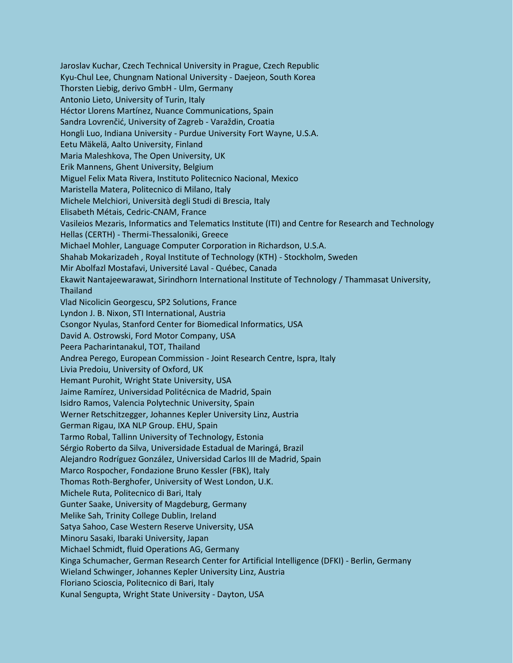Jaroslav Kuchar, Czech Technical University in Prague, Czech Republic Kyu-Chul Lee, Chungnam National University - Daejeon, South Korea Thorsten Liebig, derivo GmbH - Ulm, Germany Antonio Lieto, University of Turin, Italy Héctor Llorens Martínez, Nuance Communications, Spain Sandra Lovrenčić, University of Zagreb - Varaždin, Croatia Hongli Luo, Indiana University - Purdue University Fort Wayne, U.S.A. Eetu Mäkelä, Aalto University, Finland Maria Maleshkova, The Open University, UK Erik Mannens, Ghent University, Belgium Miguel Felix Mata Rivera, Instituto Politecnico Nacional, Mexico Maristella Matera, Politecnico di Milano, Italy Michele Melchiori, Università degli Studi di Brescia, Italy Elisabeth Métais, Cedric-CNAM, France Vasileios Mezaris, Informatics and Telematics Institute (ITI) and Centre for Research and Technology Hellas (CERTH) - Thermi-Thessaloniki, Greece Michael Mohler, Language Computer Corporation in Richardson, U.S.A. Shahab Mokarizadeh , Royal Institute of Technology (KTH) - Stockholm, Sweden Mir Abolfazl Mostafavi, Université Laval - Québec, Canada Ekawit Nantajeewarawat, Sirindhorn International Institute of Technology / Thammasat University, Thailand Vlad Nicolicin Georgescu, SP2 Solutions, France Lyndon J. B. Nixon, STI International, Austria Csongor Nyulas, Stanford Center for Biomedical Informatics, USA David A. Ostrowski, Ford Motor Company, USA Peera Pacharintanakul, TOT, Thailand Andrea Perego, European Commission - Joint Research Centre, Ispra, Italy Livia Predoiu, University of Oxford, UK Hemant Purohit, Wright State University, USA Jaime Ramírez, Universidad Politécnica de Madrid, Spain Isidro Ramos, Valencia Polytechnic University, Spain Werner Retschitzegger, Johannes Kepler University Linz, Austria German Rigau, IXA NLP Group. EHU, Spain Tarmo Robal, Tallinn University of Technology, Estonia Sérgio Roberto da Silva, Universidade Estadual de Maringá, Brazil Alejandro Rodríguez González, Universidad Carlos III de Madrid, Spain Marco Rospocher, Fondazione Bruno Kessler (FBK), Italy Thomas Roth-Berghofer, University of West London, U.K. Michele Ruta, Politecnico di Bari, Italy Gunter Saake, University of Magdeburg, Germany Melike Sah, Trinity College Dublin, Ireland Satya Sahoo, Case Western Reserve University, USA Minoru Sasaki, Ibaraki University, Japan Michael Schmidt, fluid Operations AG, Germany Kinga Schumacher, German Research Center for Artificial Intelligence (DFKI) - Berlin, Germany Wieland Schwinger, Johannes Kepler University Linz, Austria Floriano Scioscia, Politecnico di Bari, Italy Kunal Sengupta, Wright State University - Dayton, USA